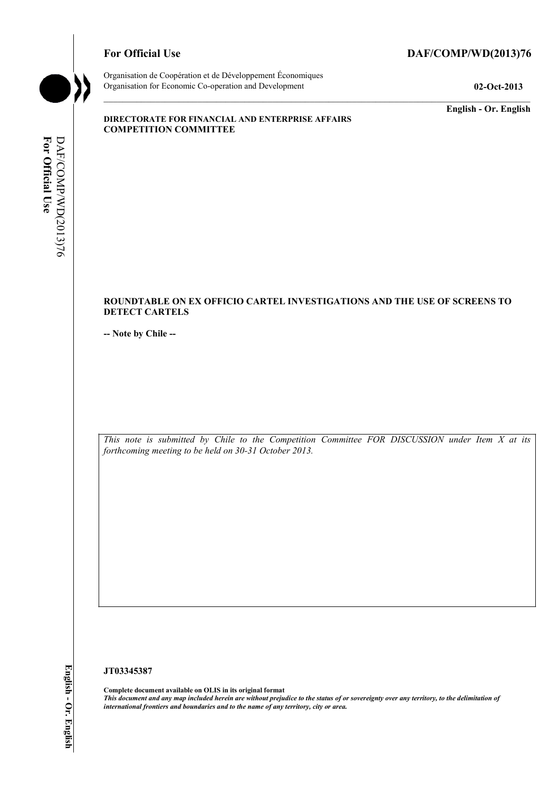#### For Official Use DAF/COMP/WD(2013)76



Organisation de Coopération et de Développement Économiques Organisation for Economic Co-operation and Development **02-Oct-2013** 

**English - Or. English** 

#### **DIRECTORATE FOR FINANCIAL AND ENTERPRISE AFFAIRS COMPETITION COMMITTEE**

# For Official Use DAF/COMP/WD(2013)76 **For Official Use**  DAF/COMP/WD(2013)76

#### **ROUNDTABLE ON EX OFFICIO CARTEL INVESTIGATIONS AND THE USE OF SCREENS TO DETECT CARTELS**

**-- Note by Chile --** 

*This note is submitted by Chile to the Competition Committee FOR DISCUSSION under Item X at its forthcoming meeting to be held on 30-31 October 2013.* 

#### **JT03345387**

**Complete document available on OLIS in its original format** *This document and any map included herein are without prejudice to the status of or sovereignty over any territory, to the delimitation of international frontiers and boundaries and to the name of any territory, city or area.*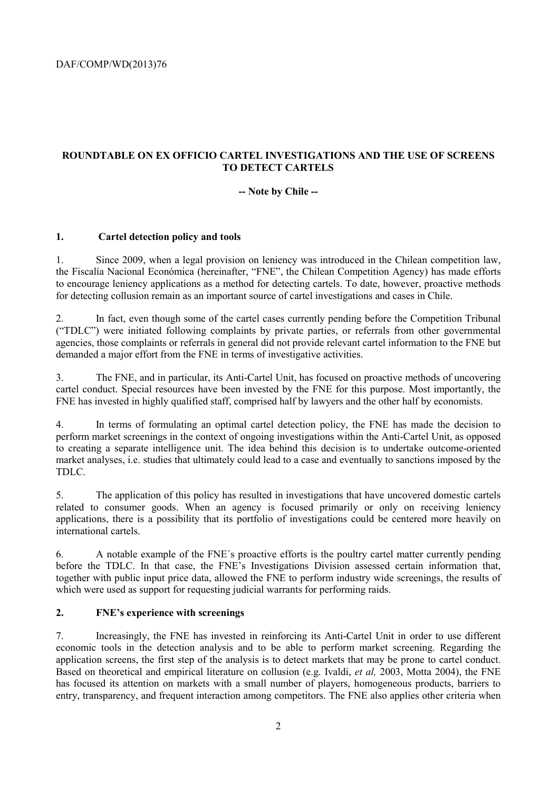# **ROUNDTABLE ON EX OFFICIO CARTEL INVESTIGATIONS AND THE USE OF SCREENS TO DETECT CARTELS**

#### **-- Note by Chile --**

#### **1. Cartel detection policy and tools**

1. Since 2009, when a legal provision on leniency was introduced in the Chilean competition law, the Fiscalía Nacional Económica (hereinafter, "FNE", the Chilean Competition Agency) has made efforts to encourage leniency applications as a method for detecting cartels. To date, however, proactive methods for detecting collusion remain as an important source of cartel investigations and cases in Chile.

2. In fact, even though some of the cartel cases currently pending before the Competition Tribunal ("TDLC") were initiated following complaints by private parties, or referrals from other governmental agencies, those complaints or referrals in general did not provide relevant cartel information to the FNE but demanded a major effort from the FNE in terms of investigative activities.

3. The FNE, and in particular, its Anti-Cartel Unit, has focused on proactive methods of uncovering cartel conduct. Special resources have been invested by the FNE for this purpose. Most importantly, the FNE has invested in highly qualified staff, comprised half by lawyers and the other half by economists.

4. In terms of formulating an optimal cartel detection policy, the FNE has made the decision to perform market screenings in the context of ongoing investigations within the Anti-Cartel Unit, as opposed to creating a separate intelligence unit. The idea behind this decision is to undertake outcome-oriented market analyses, i.e. studies that ultimately could lead to a case and eventually to sanctions imposed by the TDLC.

5. The application of this policy has resulted in investigations that have uncovered domestic cartels related to consumer goods. When an agency is focused primarily or only on receiving leniency applications, there is a possibility that its portfolio of investigations could be centered more heavily on international cartels.

6. A notable example of the FNE´s proactive efforts is the poultry cartel matter currently pending before the TDLC. In that case, the FNE's Investigations Division assessed certain information that, together with public input price data, allowed the FNE to perform industry wide screenings, the results of which were used as support for requesting judicial warrants for performing raids.

# **2. FNE's experience with screenings**

7. Increasingly, the FNE has invested in reinforcing its Anti-Cartel Unit in order to use different economic tools in the detection analysis and to be able to perform market screening. Regarding the application screens, the first step of the analysis is to detect markets that may be prone to cartel conduct. Based on theoretical and empirical literature on collusion (e.g. Ivaldi, *et al,* 2003, Motta 2004), the FNE has focused its attention on markets with a small number of players, homogeneous products, barriers to entry, transparency, and frequent interaction among competitors. The FNE also applies other criteria when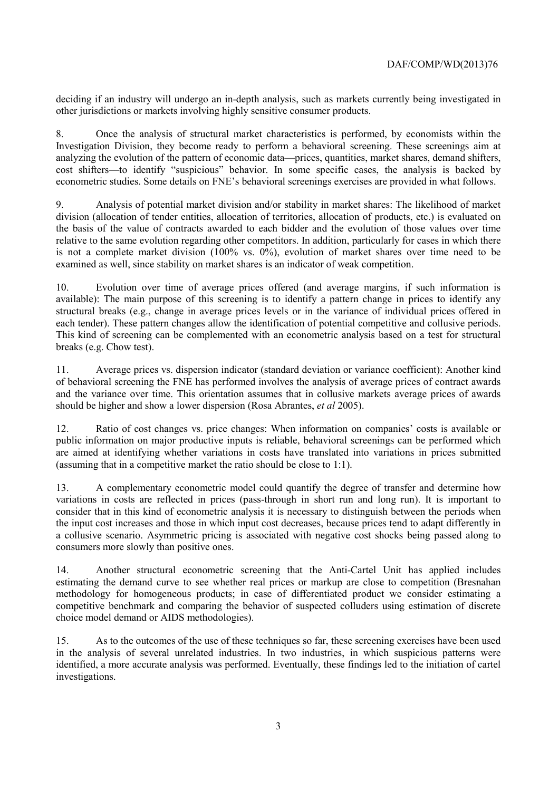deciding if an industry will undergo an in-depth analysis, such as markets currently being investigated in other jurisdictions or markets involving highly sensitive consumer products.

8. Once the analysis of structural market characteristics is performed, by economists within the Investigation Division, they become ready to perform a behavioral screening. These screenings aim at analyzing the evolution of the pattern of economic data—prices, quantities, market shares, demand shifters, cost shifters—to identify "suspicious" behavior. In some specific cases, the analysis is backed by econometric studies. Some details on FNE's behavioral screenings exercises are provided in what follows.

9. Analysis of potential market division and/or stability in market shares: The likelihood of market division (allocation of tender entities, allocation of territories, allocation of products, etc.) is evaluated on the basis of the value of contracts awarded to each bidder and the evolution of those values over time relative to the same evolution regarding other competitors. In addition, particularly for cases in which there is not a complete market division (100% vs.  $0\%$ ), evolution of market shares over time need to be examined as well, since stability on market shares is an indicator of weak competition.

10. Evolution over time of average prices offered (and average margins, if such information is available): The main purpose of this screening is to identify a pattern change in prices to identify any structural breaks (e.g., change in average prices levels or in the variance of individual prices offered in each tender). These pattern changes allow the identification of potential competitive and collusive periods. This kind of screening can be complemented with an econometric analysis based on a test for structural breaks (e.g. Chow test).

11. Average prices vs. dispersion indicator (standard deviation or variance coefficient): Another kind of behavioral screening the FNE has performed involves the analysis of average prices of contract awards and the variance over time. This orientation assumes that in collusive markets average prices of awards should be higher and show a lower dispersion (Rosa Abrantes, *et al* 2005).

12. Ratio of cost changes vs. price changes: When information on companies' costs is available or public information on major productive inputs is reliable, behavioral screenings can be performed which are aimed at identifying whether variations in costs have translated into variations in prices submitted (assuming that in a competitive market the ratio should be close to 1:1).

13. A complementary econometric model could quantify the degree of transfer and determine how variations in costs are reflected in prices (pass-through in short run and long run). It is important to consider that in this kind of econometric analysis it is necessary to distinguish between the periods when the input cost increases and those in which input cost decreases, because prices tend to adapt differently in a collusive scenario. Asymmetric pricing is associated with negative cost shocks being passed along to consumers more slowly than positive ones.

14. Another structural econometric screening that the Anti-Cartel Unit has applied includes estimating the demand curve to see whether real prices or markup are close to competition (Bresnahan methodology for homogeneous products; in case of differentiated product we consider estimating a competitive benchmark and comparing the behavior of suspected colluders using estimation of discrete choice model demand or AIDS methodologies).

15. As to the outcomes of the use of these techniques so far, these screening exercises have been used in the analysis of several unrelated industries. In two industries, in which suspicious patterns were identified, a more accurate analysis was performed. Eventually, these findings led to the initiation of cartel investigations.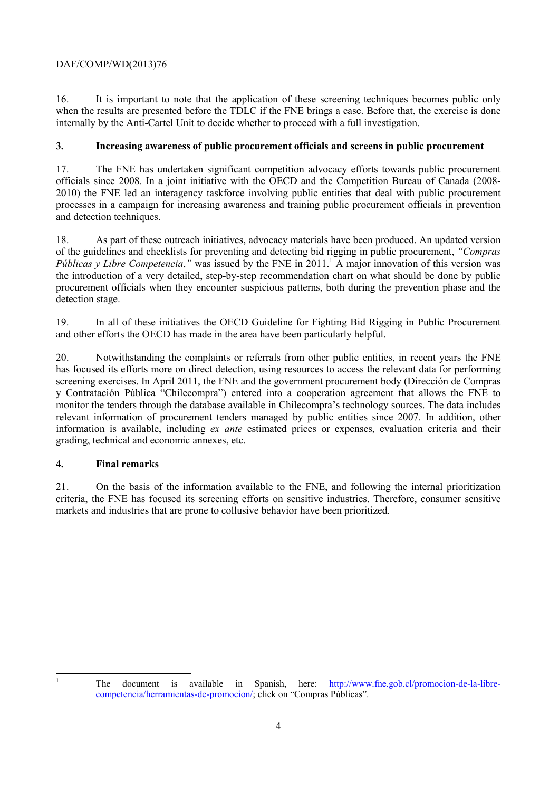# DAF/COMP/WD(2013)76

16. It is important to note that the application of these screening techniques becomes public only when the results are presented before the TDLC if the FNE brings a case. Before that, the exercise is done internally by the Anti-Cartel Unit to decide whether to proceed with a full investigation.

# **3. Increasing awareness of public procurement officials and screens in public procurement**

17. The FNE has undertaken significant competition advocacy efforts towards public procurement officials since 2008. In a joint initiative with the OECD and the Competition Bureau of Canada (2008- 2010) the FNE led an interagency taskforce involving public entities that deal with public procurement processes in a campaign for increasing awareness and training public procurement officials in prevention and detection techniques.

18. As part of these outreach initiatives, advocacy materials have been produced. An updated version of the guidelines and checklists for preventing and detecting bid rigging in public procurement, *"Compras Públicas y Libre Competencia,"* was issued by the FNE in 2011.<sup>1</sup> A major innovation of this version was the introduction of a very detailed, step-by-step recommendation chart on what should be done by public procurement officials when they encounter suspicious patterns, both during the prevention phase and the detection stage.

19. In all of these initiatives the OECD Guideline for Fighting Bid Rigging in Public Procurement and other efforts the OECD has made in the area have been particularly helpful.

20. Notwithstanding the complaints or referrals from other public entities, in recent years the FNE has focused its efforts more on direct detection, using resources to access the relevant data for performing screening exercises. In April 2011, the FNE and the government procurement body (Dirección de Compras y Contratación Pública "Chilecompra") entered into a cooperation agreement that allows the FNE to monitor the tenders through the database available in Chilecompra's technology sources. The data includes relevant information of procurement tenders managed by public entities since 2007. In addition, other information is available, including *ex ante* estimated prices or expenses, evaluation criteria and their grading, technical and economic annexes, etc.

#### **4. Final remarks**

21. On the basis of the information available to the FNE, and following the internal prioritization criteria, the FNE has focused its screening efforts on sensitive industries. Therefore, consumer sensitive markets and industries that are prone to collusive behavior have been prioritized.

|<br>|<br>|

The document is available in Spanish, here: http://www.fne.gob.cl/promocion-de-la-librecompetencia/herramientas-de-promocion/; click on "Compras Públicas".